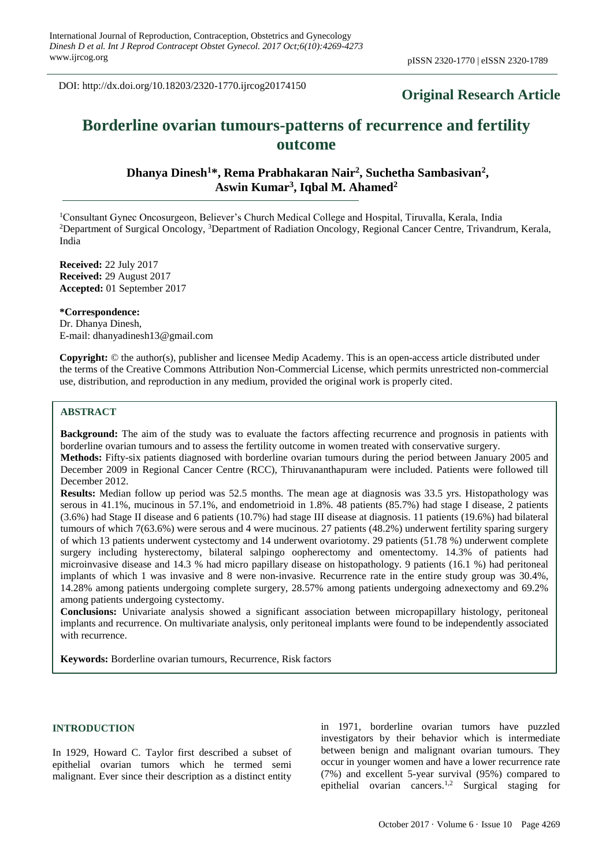DOI: http://dx.doi.org/10.18203/2320-1770.ijrcog20174150

# **Original Research Article**

# **Borderline ovarian tumours-patterns of recurrence and fertility outcome**

**Dhanya Dinesh<sup>1</sup>\*, Rema Prabhakaran Nair<sup>2</sup> , Suchetha Sambasivan<sup>2</sup> , Aswin Kumar<sup>3</sup> , Iqbal M. Ahamed<sup>2</sup>**

<sup>1</sup>Consultant Gynec Oncosurgeon, Believer's Church Medical College and Hospital, Tiruvalla, Kerala, India <sup>2</sup>Department of Surgical Oncology, <sup>3</sup>Department of Radiation Oncology, Regional Cancer Centre, Trivandrum, Kerala, India

**Received:** 22 July 2017 **Received:** 29 August 2017 **Accepted:** 01 September 2017

**\*Correspondence:** Dr. Dhanya Dinesh, E-mail: dhanyadinesh13@gmail.com

**Copyright:** © the author(s), publisher and licensee Medip Academy. This is an open-access article distributed under the terms of the Creative Commons Attribution Non-Commercial License, which permits unrestricted non-commercial use, distribution, and reproduction in any medium, provided the original work is properly cited.

## **ABSTRACT**

**Background:** The aim of the study was to evaluate the factors affecting recurrence and prognosis in patients with borderline ovarian tumours and to assess the fertility outcome in women treated with conservative surgery. **Methods:** Fifty-six patients diagnosed with borderline ovarian tumours during the period between January 2005 and

December 2009 in Regional Cancer Centre (RCC), Thiruvananthapuram were included. Patients were followed till December 2012.

**Results:** Median follow up period was 52.5 months. The mean age at diagnosis was 33.5 yrs. Histopathology was serous in 41.1%, mucinous in 57.1%, and endometrioid in 1.8%. 48 patients (85.7%) had stage I disease, 2 patients (3.6%) had Stage II disease and 6 patients (10.7%) had stage III disease at diagnosis. 11 patients (19.6%) had bilateral tumours of which 7(63.6%) were serous and 4 were mucinous. 27 patients (48.2%) underwent fertility sparing surgery of which 13 patients underwent cystectomy and 14 underwent ovariotomy. 29 patients (51.78 %) underwent complete surgery including hysterectomy, bilateral salpingo oopherectomy and omentectomy. 14.3% of patients had microinvasive disease and 14.3 % had micro papillary disease on histopathology. 9 patients (16.1 %) had peritoneal implants of which 1 was invasive and 8 were non-invasive. Recurrence rate in the entire study group was 30.4%, 14.28% among patients undergoing complete surgery, 28.57% among patients undergoing adnexectomy and 69.2% among patients undergoing cystectomy.

**Conclusions:** Univariate analysis showed a significant association between micropapillary histology, peritoneal implants and recurrence. On multivariate analysis, only peritoneal implants were found to be independently associated with recurrence.

**Keywords:** Borderline ovarian tumours, Recurrence, Risk factors

# **INTRODUCTION**

In 1929, Howard C. Taylor first described a subset of epithelial ovarian tumors which he termed semi malignant. Ever since their description as a distinct entity in 1971, borderline ovarian tumors have puzzled investigators by their behavior which is intermediate between benign and malignant ovarian tumours. They occur in younger women and have a lower recurrence rate (7%) and excellent 5-year survival (95%) compared to epithelial ovarian cancers. 1,2 Surgical staging for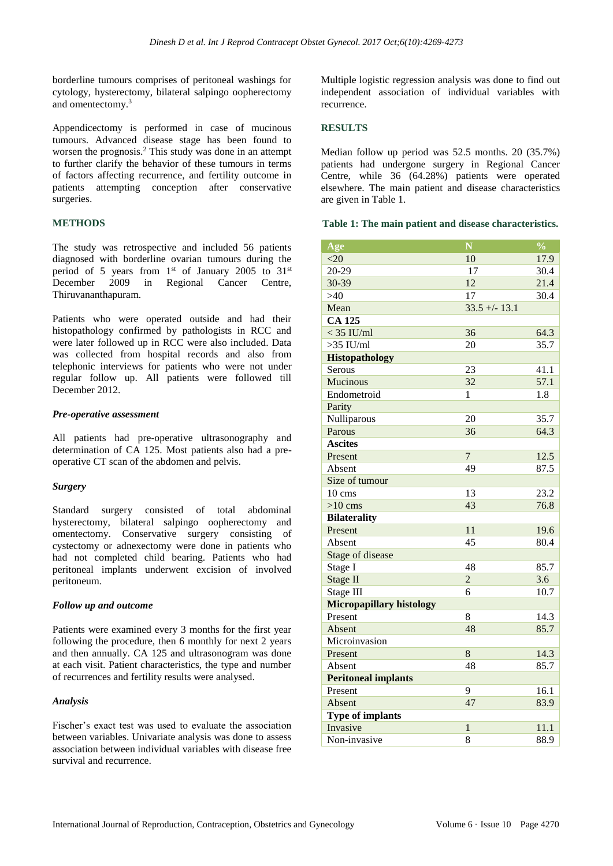borderline tumours comprises of peritoneal washings for cytology, hysterectomy, bilateral salpingo oopherectomy and omentectomy. 3

Appendicectomy is performed in case of mucinous tumours. Advanced disease stage has been found to worsen the prognosis. <sup>2</sup> This study was done in an attempt to further clarify the behavior of these tumours in terms of factors affecting recurrence, and fertility outcome in patients attempting conception after conservative surgeries.

# **METHODS**

The study was retrospective and included 56 patients diagnosed with borderline ovarian tumours during the period of 5 years from  $1<sup>st</sup>$  of January 2005 to 31 $<sup>st</sup>$ </sup> December 2009 in Regional Cancer Centre, Thiruvananthapuram.

Patients who were operated outside and had their histopathology confirmed by pathologists in RCC and were later followed up in RCC were also included. Data was collected from hospital records and also from telephonic interviews for patients who were not under regular follow up. All patients were followed till December 2012.

#### *Pre-operative assessment*

All patients had pre-operative ultrasonography and determination of CA 125. Most patients also had a preoperative CT scan of the abdomen and pelvis.

# *Surgery*

Standard surgery consisted of total abdominal hysterectomy, bilateral salpingo oopherectomy and omentectomy. Conservative surgery consisting of cystectomy or adnexectomy were done in patients who had not completed child bearing. Patients who had peritoneal implants underwent excision of involved peritoneum.

# *Follow up and outcome*

Patients were examined every 3 months for the first year following the procedure, then 6 monthly for next 2 years and then annually. CA 125 and ultrasonogram was done at each visit. Patient characteristics, the type and number of recurrences and fertility results were analysed.

# *Analysis*

Fischer's exact test was used to evaluate the association between variables. Univariate analysis was done to assess association between individual variables with disease free survival and recurrence.

Multiple logistic regression analysis was done to find out independent association of individual variables with recurrence.

# **RESULTS**

Median follow up period was 52.5 months. 20 (35.7%) patients had undergone surgery in Regional Cancer Centre, while 36 (64.28%) patients were operated elsewhere. The main patient and disease characteristics are given in Table 1.

# **Table 1: The main patient and disease characteristics.**

| Age                             | $\overline{\mathbf{N}}$ | $\overline{\frac{0}{0}}$ |
|---------------------------------|-------------------------|--------------------------|
| <20                             | 10                      | 17.9                     |
| 20-29                           | 17                      | 30.4                     |
| 30-39                           | 12                      | 21.4                     |
| >40                             | 17                      | 30.4                     |
| Mean                            | $33.5 + (-13.1)$        |                          |
| <b>CA 125</b>                   |                         |                          |
| $<$ 35 IU/ml                    | 36                      | 64.3                     |
| $>35$ IU/ml                     | 20                      | 35.7                     |
| Histopathology                  |                         |                          |
| Serous                          | 23                      | 41.1                     |
| Mucinous                        | 32                      | 57.1                     |
| Endometroid                     | 1                       | 1.8                      |
| Parity                          |                         |                          |
| Nulliparous                     | 20                      | 35.7                     |
| Parous                          | 36                      | 64.3                     |
| <b>Ascites</b>                  |                         |                          |
| Present                         | $\boldsymbol{7}$        | 12.5                     |
| Absent                          | 49                      | 87.5                     |
| Size of tumour                  |                         |                          |
| $10 \text{ cm}$                 | 13                      | 23.2                     |
| $>10$ cms                       | 43                      | 76.8                     |
| <b>Bilaterality</b>             |                         |                          |
| Present                         | 11                      | 19.6                     |
| Absent                          | 45                      | 80.4                     |
| Stage of disease                |                         |                          |
| Stage I                         | 48                      | 85.7                     |
| Stage II                        | $\overline{2}$          | 3.6                      |
| Stage III                       | 6                       | 10.7                     |
| <b>Micropapillary histology</b> |                         |                          |
| Present                         | 8                       | 14.3                     |
| Absent                          | 48                      | 85.7                     |
| Microinvasion                   |                         |                          |
| Present                         | 8                       | 14.3                     |
| Absent                          | 48                      | 85.7                     |
| <b>Peritoneal implants</b>      |                         |                          |
| Present                         | 9                       | 16.1                     |
| Absent                          | 47                      | 83.9                     |
| <b>Type of implants</b>         |                         |                          |
| Invasive                        | $\mathbf{1}$            | 11.1                     |
| Non-invasive                    | 8                       | 88.9                     |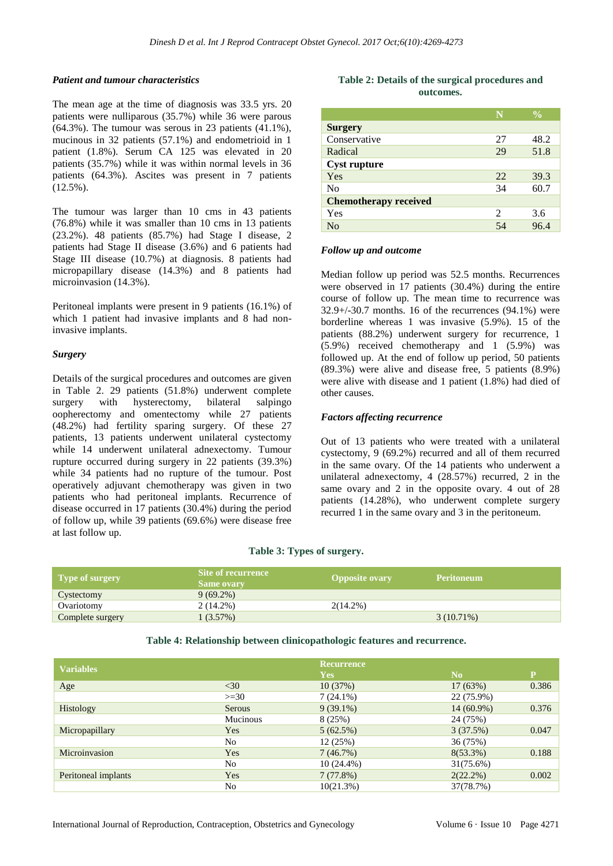#### *Patient and tumour characteristics*

The mean age at the time of diagnosis was 33.5 yrs. 20 patients were nulliparous (35.7%) while 36 were parous (64.3%). The tumour was serous in 23 patients (41.1%), mucinous in 32 patients (57.1%) and endometrioid in 1 patient (1.8%). Serum CA 125 was elevated in 20 patients (35.7%) while it was within normal levels in 36 patients (64.3%). Ascites was present in 7 patients  $(12.5\%)$ .

The tumour was larger than 10 cms in 43 patients (76.8%) while it was smaller than 10 cms in 13 patients (23.2%). 48 patients (85.7%) had Stage I disease, 2 patients had Stage II disease (3.6%) and 6 patients had Stage III disease (10.7%) at diagnosis. 8 patients had micropapillary disease (14.3%) and 8 patients had microinvasion (14.3%).

Peritoneal implants were present in 9 patients (16.1%) of which 1 patient had invasive implants and 8 had noninvasive implants.

#### *Surgery*

Details of the surgical procedures and outcomes are given in Table 2. 29 patients (51.8%) underwent complete surgery with hysterectomy, bilateral salpingo oopherectomy and omentectomy while 27 patients (48.2%) had fertility sparing surgery. Of these 27 patients, 13 patients underwent unilateral cystectomy while 14 underwent unilateral adnexectomy. Tumour rupture occurred during surgery in 22 patients (39.3%) while 34 patients had no rupture of the tumour. Post operatively adjuvant chemotherapy was given in two patients who had peritoneal implants. Recurrence of disease occurred in 17 patients (30.4%) during the period of follow up, while 39 patients (69.6%) were disease free at last follow up.

# **Table 2: Details of the surgical procedures and outcomes.**

|                              |                | $\frac{0}{0}$ |
|------------------------------|----------------|---------------|
| <b>Surgery</b>               |                |               |
| Conservative                 | 27             | 48.2          |
| Radical                      | 29             | 51.8          |
| <b>Cyst rupture</b>          |                |               |
| Yes                          | 22.            | 39.3          |
| N <sub>0</sub>               | 34             | 60.7          |
| <b>Chemotherapy received</b> |                |               |
| Yes                          | $\mathfrak{D}$ | 3.6           |
| N <sub>0</sub>               | 54             | 964           |

#### *Follow up and outcome*

Median follow up period was 52.5 months. Recurrences were observed in 17 patients (30.4%) during the entire course of follow up. The mean time to recurrence was 32.9+/-30.7 months. 16 of the recurrences (94.1%) were borderline whereas 1 was invasive (5.9%). 15 of the patients (88.2%) underwent surgery for recurrence, 1 (5.9%) received chemotherapy and 1 (5.9%) was followed up. At the end of follow up period, 50 patients (89.3%) were alive and disease free, 5 patients (8.9%) were alive with disease and 1 patient (1.8%) had died of other causes.

# *Factors affecting recurrence*

Out of 13 patients who were treated with a unilateral cystectomy, 9 (69.2%) recurred and all of them recurred in the same ovary. Of the 14 patients who underwent a unilateral adnexectomy, 4 (28.57%) recurred, 2 in the same ovary and 2 in the opposite ovary. 4 out of 28 patients (14.28%), who underwent complete surgery recurred 1 in the same ovary and 3 in the peritoneum.

#### **Table 3: Types of surgery.**

| Type of surgery  | Site of recurrence<br><b>Same ovary</b> | <b>Opposite ovary</b> | <b>Peritoneum</b> |
|------------------|-----------------------------------------|-----------------------|-------------------|
| Cystectomy       | $9(69.2\%)$                             |                       |                   |
| Ovariotomy       | $2(14.2\%)$                             | $2(14.2\%)$           |                   |
| Complete surgery | 1(3.57%)                                |                       | $3(10.71\%)$      |

**Table 4: Relationship between clinicopathologic features and recurrence.**

| <b>Variables</b>    |                 | Recurrence<br><b>Yes</b> | N <sub>0</sub> | P     |
|---------------------|-----------------|--------------------------|----------------|-------|
| Age                 | $<$ 30          | 10(37%)                  | 17(63%)        | 0.386 |
|                     | $>=30$          | $7(24.1\%)$              | 22 (75.9%)     |       |
| <b>Histology</b>    | <b>Serous</b>   | $9(39.1\%)$              | 14 (60.9%)     | 0.376 |
|                     | <b>Mucinous</b> | 8 (25%)                  | 24 (75%)       |       |
| Micropapillary      | <b>Yes</b>      | 5(62.5%)                 | 3(37.5%)       | 0.047 |
|                     | No.             | 12(25%)                  | 36 (75%)       |       |
| Microinvasion       | Yes             | 7(46.7%)                 | $8(53.3\%)$    | 0.188 |
|                     | No.             | $10(24.4\%)$             | 31(75.6%)      |       |
| Peritoneal implants | Yes             | 7(77.8%)                 | $2(22.2\%)$    | 0.002 |
|                     | No              | 10(21.3%)                | 37(78.7%)      |       |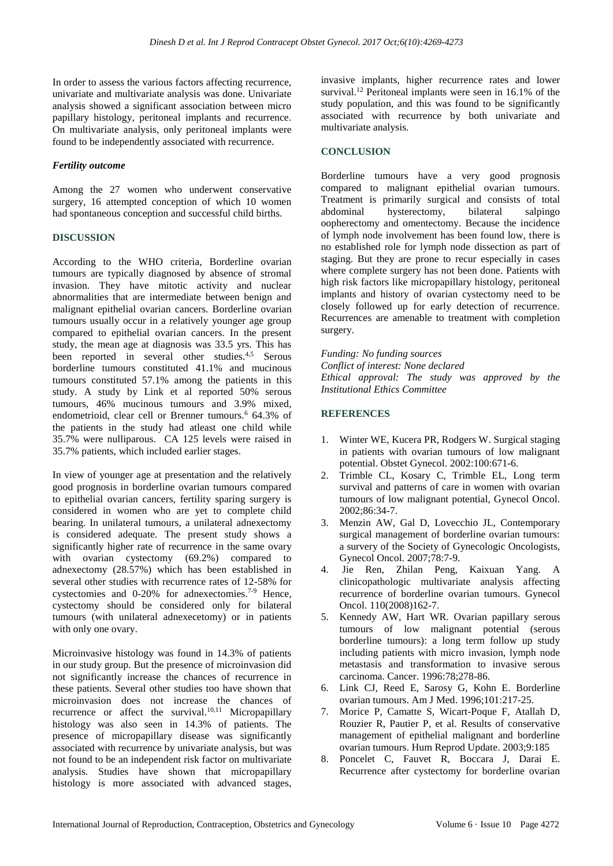In order to assess the various factors affecting recurrence, univariate and multivariate analysis was done. Univariate analysis showed a significant association between micro papillary histology, peritoneal implants and recurrence. On multivariate analysis, only peritoneal implants were found to be independently associated with recurrence.

## *Fertility outcome*

Among the 27 women who underwent conservative surgery, 16 attempted conception of which 10 women had spontaneous conception and successful child births.

#### **DISCUSSION**

According to the WHO criteria, Borderline ovarian tumours are typically diagnosed by absence of stromal invasion. They have mitotic activity and nuclear abnormalities that are intermediate between benign and malignant epithelial ovarian cancers. Borderline ovarian tumours usually occur in a relatively younger age group compared to epithelial ovarian cancers. In the present study, the mean age at diagnosis was 33.5 yrs. This has been reported in several other studies.<sup>4,5</sup> Serous borderline tumours constituted 41.1% and mucinous tumours constituted 57.1% among the patients in this study. A study by Link et al reported 50% serous tumours, 46% mucinous tumours and 3.9% mixed, endometrioid, clear cell or Brenner tumours.<sup>6</sup> 64.3% of the patients in the study had atleast one child while 35.7% were nulliparous. CA 125 levels were raised in 35.7% patients, which included earlier stages.

In view of younger age at presentation and the relatively good prognosis in borderline ovarian tumours compared to epithelial ovarian cancers, fertility sparing surgery is considered in women who are yet to complete child bearing. In unilateral tumours, a unilateral adnexectomy is considered adequate. The present study shows a significantly higher rate of recurrence in the same ovary with ovarian cystectomy (69.2%) compared to adnexectomy (28.57%) which has been established in several other studies with recurrence rates of 12-58% for cystectomies and 0-20% for adnexectomies.<sup>7-9</sup> Hence, cystectomy should be considered only for bilateral tumours (with unilateral adnexecetomy) or in patients with only one ovary.

Microinvasive histology was found in 14.3% of patients in our study group. But the presence of microinvasion did not significantly increase the chances of recurrence in these patients. Several other studies too have shown that microinvasion does not increase the chances of recurrence or affect the survival.<sup>10,11</sup> Micropapillary histology was also seen in 14.3% of patients. The presence of micropapillary disease was significantly associated with recurrence by univariate analysis, but was not found to be an independent risk factor on multivariate analysis. Studies have shown that micropapillary histology is more associated with advanced stages, invasive implants, higher recurrence rates and lower survival.<sup>12</sup> Peritoneal implants were seen in 16.1% of the study population, and this was found to be significantly associated with recurrence by both univariate and multivariate analysis.

#### **CONCLUSION**

Borderline tumours have a very good prognosis compared to malignant epithelial ovarian tumours. Treatment is primarily surgical and consists of total abdominal hysterectomy, bilateral salpingo oopherectomy and omentectomy. Because the incidence of lymph node involvement has been found low, there is no established role for lymph node dissection as part of staging. But they are prone to recur especially in cases where complete surgery has not been done. Patients with high risk factors like micropapillary histology, peritoneal implants and history of ovarian cystectomy need to be closely followed up for early detection of recurrence. Recurrences are amenable to treatment with completion surgery.

*Funding: No funding sources Conflict of interest: None declared Ethical approval: The study was approved by the Institutional Ethics Committee*

# **REFERENCES**

- 1. Winter WE, Kucera PR, Rodgers W. Surgical staging in patients with ovarian tumours of low malignant potential. Obstet Gynecol. 2002:100:671-6.
- 2. Trimble CL, Kosary C, Trimble EL, Long term survival and patterns of care in women with ovarian tumours of low malignant potential, Gynecol Oncol. 2002;86:34-7.
- 3. Menzin AW, Gal D, Lovecchio JL, Contemporary surgical management of borderline ovarian tumours: a survery of the Society of Gynecologic Oncologists, Gynecol Oncol. 2007;78:7-9.
- 4. Jie Ren, Zhilan Peng, Kaixuan Yang. A clinicopathologic multivariate analysis affecting recurrence of borderline ovarian tumours. Gynecol Oncol. 110(2008)162-7.
- 5. Kennedy AW, Hart WR. Ovarian papillary serous tumours of low malignant potential (serous borderline tumours): a long term follow up study including patients with micro invasion, lymph node metastasis and transformation to invasive serous carcinoma. Cancer. 1996:78;278-86.
- 6. Link CJ, Reed E, Sarosy G, Kohn E. Borderline ovarian tumours. Am J Med. 1996;101:217-25.
- 7. Morice P, Camatte S, Wicart-Poque F, Atallah D, Rouzier R, Pautier P, et al. Results of conservative management of epithelial malignant and borderline ovarian tumours. Hum Reprod Update. 2003;9:185
- 8. Poncelet C, Fauvet R, Boccara J, Darai E. Recurrence after cystectomy for borderline ovarian